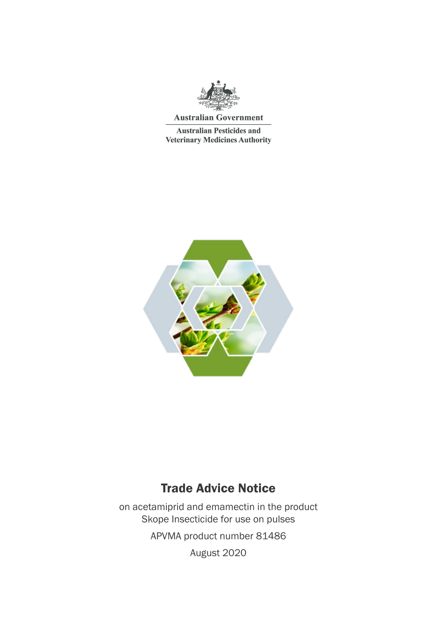

**Australian Government** 

**Australian Pesticides and Veterinary Medicines Authority** 



# Trade Advice Notice

on acetamiprid and emamectin in the product Skope Insecticide for use on pulses

APVMA product number 81486

August 2020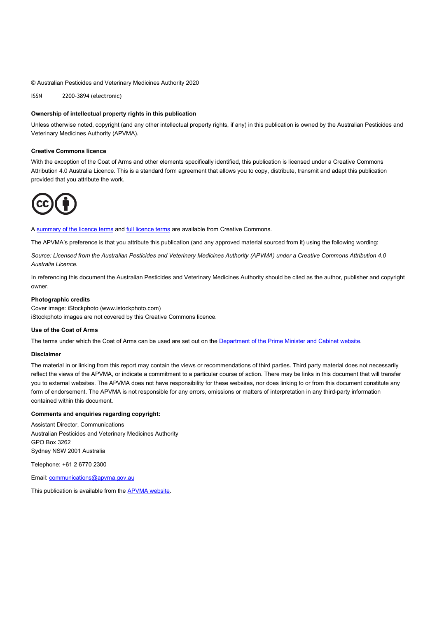#### © Australian Pesticides and Veterinary Medicines Authority 2020

ISSN 2200-3894 (electronic)

#### **Ownership of intellectual property rights in this publication**

Unless otherwise noted, copyright (and any other intellectual property rights, if any) in this publication is owned by the Australian Pesticides and Veterinary Medicines Authority (APVMA).

#### **Creative Commons licence**

With the exception of the Coat of Arms and other elements specifically identified, this publication is licensed under a Creative Commons Attribution 4.0 Australia Licence. This is a standard form agreement that allows you to copy, distribute, transmit and adapt this publication provided that you attribute the work.



A [summary of the licence terms](http://www.creativecommons.org/licenses/by/3.0/au/deed.en) an[d full licence terms](http://www.creativecommons.org/licenses/by/3.0/au/legalcode) are available from Creative Commons.

The APVMA's preference is that you attribute this publication (and any approved material sourced from it) using the following wording:

*Source: Licensed from the Australian Pesticides and Veterinary Medicines Authority (APVMA) under a Creative Commons Attribution 4.0 Australia Licence.*

In referencing this document the Australian Pesticides and Veterinary Medicines Authority should be cited as the author, publisher and copyright owner.

#### **Photographic credits**

Cover image: iStockphoto (www.istockphoto.com) iStockphoto images are not covered by this Creative Commons licence.

#### **Use of the Coat of Arms**

The terms under which the Coat of Arms can be used are set out on the **Department of the Prime Minister and Cabinet website**.

#### **Disclaimer**

The material in or linking from this report may contain the views or recommendations of third parties. Third party material does not necessarily reflect the views of the APVMA, or indicate a commitment to a particular course of action. There may be links in this document that will transfer you to external websites. The APVMA does not have responsibility for these websites, nor does linking to or from this document constitute any form of endorsement. The APVMA is not responsible for any errors, omissions or matters of interpretation in any third-party information contained within this document.

#### **Comments and enquiries regarding copyright:**

Assistant Director, Communications Australian Pesticides and Veterinary Medicines Authority GPO Box 3262 Sydney NSW 2001 Australia

Telephone: +61 2 6770 2300

Email: [communications@apvma.gov.au](mailto:communications@apvma.gov.au)

This publication is available from the **APVMA** website.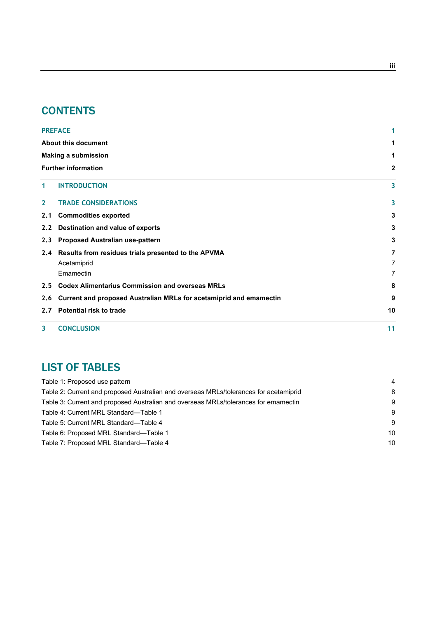# **CONTENTS**

|                     | <b>PREFACE</b>                                                     |    |
|---------------------|--------------------------------------------------------------------|----|
| About this document |                                                                    |    |
|                     | <b>Making a submission</b>                                         |    |
|                     | <b>Further information</b>                                         | 2  |
| 1                   | <b>INTRODUCTION</b>                                                | 3  |
| $\mathbf{2}$        | <b>TRADE CONSIDERATIONS</b>                                        | 3  |
| 2.1                 | <b>Commodities exported</b>                                        | 3  |
| 2.2                 | Destination and value of exports                                   | 3  |
| 2.3                 | Proposed Australian use-pattern                                    | 3  |
| $2.4^{\circ}$       | Results from residues trials presented to the APVMA                | 7  |
|                     | Acetamiprid                                                        | 7  |
|                     | Emamectin                                                          | 7  |
| 2.5                 | <b>Codex Alimentarius Commission and overseas MRLs</b>             | 8  |
| 2.6                 | Current and proposed Australian MRLs for acetamiprid and emamectin | 9  |
| 2.7                 | <b>Potential risk to trade</b>                                     | 10 |
| 3                   | <b>CONCLUSION</b>                                                  | 11 |

# LIST OF TABLES

| Table 1: Proposed use pattern                                                         | 4  |
|---------------------------------------------------------------------------------------|----|
| Table 2: Current and proposed Australian and overseas MRLs/tolerances for acetamiprid | 8  |
| Table 3: Current and proposed Australian and overseas MRLs/tolerances for emamectin   | 9  |
| Table 4: Current MRL Standard—Table 1                                                 | -9 |
| Table 5: Current MRL Standard—Table 4                                                 | -9 |
| Table 6: Proposed MRL Standard-Table 1                                                | 10 |
| Table 7: Proposed MRL Standard-Table 4                                                | 10 |
|                                                                                       |    |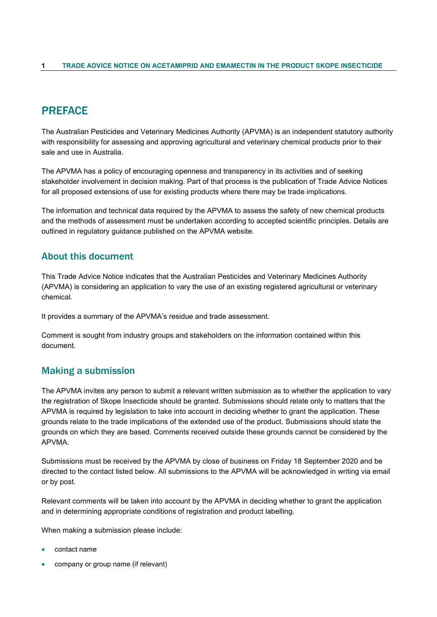# **PREFACE**

The Australian Pesticides and Veterinary Medicines Authority (APVMA) is an independent statutory authority with responsibility for assessing and approving agricultural and veterinary chemical products prior to their sale and use in Australia.

The APVMA has a policy of encouraging openness and transparency in its activities and of seeking stakeholder involvement in decision making. Part of that process is the publication of Trade Advice Notices for all proposed extensions of use for existing products where there may be trade implications.

The information and technical data required by the APVMA to assess the safety of new chemical products and the methods of assessment must be undertaken according to accepted scientific principles. Details are outlined in regulatory guidance published on the APVMA website.

# About this document

This Trade Advice Notice indicates that the Australian Pesticides and Veterinary Medicines Authority (APVMA) is considering an application to vary the use of an existing registered agricultural or veterinary chemical.

It provides a summary of the APVMA's residue and trade assessment.

Comment is sought from industry groups and stakeholders on the information contained within this document.

## Making a submission

The APVMA invites any person to submit a relevant written submission as to whether the application to vary the registration of Skope Insecticide should be granted. Submissions should relate only to matters that the APVMA is required by legislation to take into account in deciding whether to grant the application. These grounds relate to the trade implications of the extended use of the product. Submissions should state the grounds on which they are based. Comments received outside these grounds cannot be considered by the APVMA.

Submissions must be received by the APVMA by close of business on Friday 18 September 2020 and be directed to the contact listed below. All submissions to the APVMA will be acknowledged in writing via email or by post.

Relevant comments will be taken into account by the APVMA in deciding whether to grant the application and in determining appropriate conditions of registration and product labelling.

When making a submission please include:

- contact name
- company or group name (if relevant)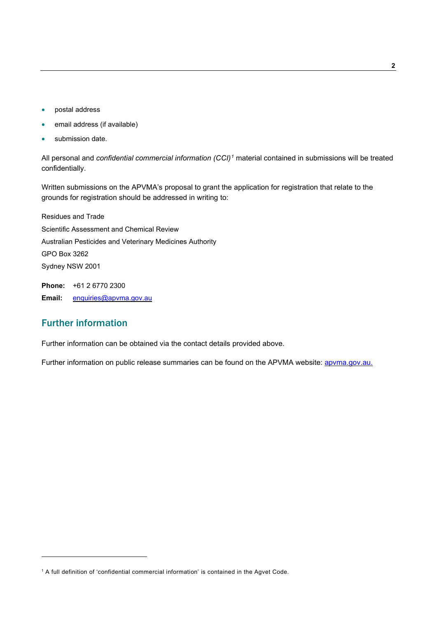- postal address
- email address (if available)
- submission date.

All personal and *confidential commercial information (CCI)[1](#page-4-0)* material contained in submissions will be treated confidentially.

Written submissions on the APVMA's proposal to grant the application for registration that relate to the grounds for registration should be addressed in writing to:

Residues and Trade Scientific Assessment and Chemical Review Australian Pesticides and Veterinary Medicines Authority GPO Box 3262 Sydney NSW 2001

**Phone:** +61 2 6770 2300 **Email:** [enquiries@apvma.gov.au](mailto:enquiries@apvma.gov.au)

## Further information

Further information can be obtained via the contact details provided above.

Further information on public release summaries can be found on the APVMA website: [apvma.gov.au.](http://www.apvma.gov.au/)

<span id="page-4-0"></span><sup>&</sup>lt;sup>1</sup> A full definition of 'confidential commercial information' is contained in the Agvet Code.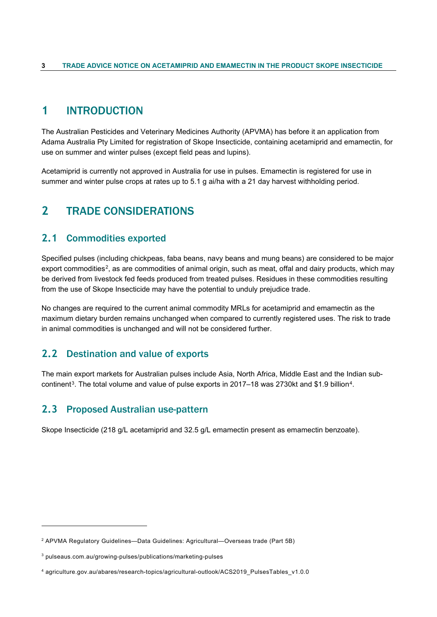# **1** INTRODUCTION

The Australian Pesticides and Veterinary Medicines Authority (APVMA) has before it an application from Adama Australia Pty Limited for registration of Skope Insecticide, containing acetamiprid and emamectin, for use on summer and winter pulses (except field peas and lupins).

Acetamiprid is currently not approved in Australia for use in pulses. Emamectin is registered for use in summer and winter pulse crops at rates up to 5.1 g ai/ha with a 21 day harvest withholding period.

# **2** TRADE CONSIDERATIONS

## **2.1** Commodities exported

Specified pulses (including chickpeas, faba beans, navy beans and mung beans) are considered to be major export commodities<sup>[2](#page-5-0)</sup>, as are commodities of animal origin, such as meat, offal and dairy products, which may be derived from livestock fed feeds produced from treated pulses. Residues in these commodities resulting from the use of Skope Insecticide may have the potential to unduly prejudice trade.

No changes are required to the current animal commodity MRLs for acetamiprid and emamectin as the maximum dietary burden remains unchanged when compared to currently registered uses. The risk to trade in animal commodities is unchanged and will not be considered further.

# **2.2** Destination and value of exports

The main export markets for Australian pulses include Asia, North Africa, Middle East and the Indian sub-continent<sup>[3](#page-5-1)</sup>. The total volume and value of pulse exports in 2017–18 was 2730kt and \$1.9 billion<sup>[4](#page-5-2)</sup>.

# **2.3** Proposed Australian use-pattern

Skope Insecticide (218 g/L acetamiprid and 32.5 g/L emamectin present as emamectin benzoate).

<span id="page-5-0"></span><sup>2</sup> APVMA Regulatory Guidelines—Data Guidelines: Agricultural—Overseas trade (Part 5B)

<span id="page-5-1"></span><sup>3</sup> pulseaus.com.au/growing-pulses/publications/marketing-pulses

<span id="page-5-2"></span><sup>4</sup> agriculture.gov.au/abares/research-topics/agricultural-outlook/ACS2019\_PulsesTables\_v1.0.0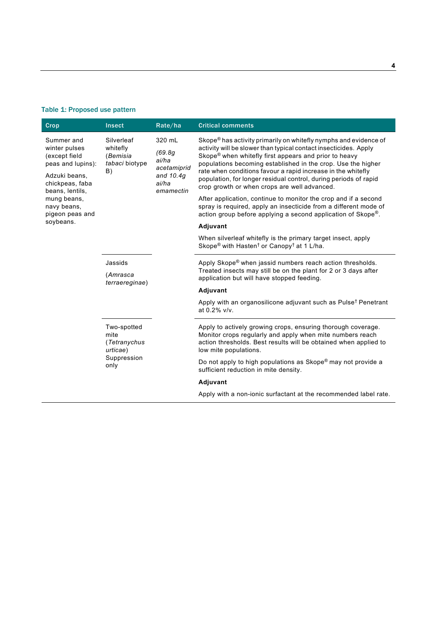### Table 1: Proposed use pattern

| Crop                                                                                                                     | <b>Insect</b>                                                                                        | Rate/ha                                                                      | <b>Critical comments</b>                                                                                                                                                                                                                                                                                                                                                                                                                                                  |  |                                                                                                                                                                                                     |
|--------------------------------------------------------------------------------------------------------------------------|------------------------------------------------------------------------------------------------------|------------------------------------------------------------------------------|---------------------------------------------------------------------------------------------------------------------------------------------------------------------------------------------------------------------------------------------------------------------------------------------------------------------------------------------------------------------------------------------------------------------------------------------------------------------------|--|-----------------------------------------------------------------------------------------------------------------------------------------------------------------------------------------------------|
| Summer and<br>winter pulses<br>(except field<br>peas and lupins):<br>Adzuki beans.<br>chickpeas, faba<br>beans, lentils, | Silverleaf<br>whitefly<br>(Bemisia<br>tabaci biotype<br>B)                                           | 320 mL<br>(69.8g)<br>ai/ha<br>acetamiprid<br>and 10.4q<br>ai/ha<br>emamectin | Skope <sup>®</sup> has activity primarily on whitefly nymphs and evidence of<br>activity will be slower than typical contact insecticides. Apply<br>Skope <sup>®</sup> when whitefly first appears and prior to heavy<br>populations becoming established in the crop. Use the higher<br>rate when conditions favour a rapid increase in the whitefly<br>population, for longer residual control, during periods of rapid<br>crop growth or when crops are well advanced. |  |                                                                                                                                                                                                     |
| mung beans,<br>navy beans,<br>pigeon peas and                                                                            |                                                                                                      |                                                                              |                                                                                                                                                                                                                                                                                                                                                                                                                                                                           |  | After application, continue to monitor the crop and if a second<br>spray is required, apply an insecticide from a different mode of<br>action group before applying a second application of Skope®. |
| soybeans.                                                                                                                |                                                                                                      |                                                                              | Adjuvant                                                                                                                                                                                                                                                                                                                                                                                                                                                                  |  |                                                                                                                                                                                                     |
|                                                                                                                          |                                                                                                      |                                                                              | When silverleaf whitefly is the primary target insect, apply<br>Skope <sup>®</sup> with Hasten <sup>†</sup> or Canopy <sup>†</sup> at 1 L/ha.                                                                                                                                                                                                                                                                                                                             |  |                                                                                                                                                                                                     |
|                                                                                                                          | Jassids                                                                                              |                                                                              | Apply Skope <sup>®</sup> when jassid numbers reach action thresholds.                                                                                                                                                                                                                                                                                                                                                                                                     |  |                                                                                                                                                                                                     |
|                                                                                                                          | (Amrasca<br>terraereginae)<br>Two-spotted<br>mite<br>(Tetranychus<br>urticae)<br>Suppression<br>only |                                                                              | Treated insects may still be on the plant for 2 or 3 days after<br>application but will have stopped feeding.                                                                                                                                                                                                                                                                                                                                                             |  |                                                                                                                                                                                                     |
|                                                                                                                          |                                                                                                      |                                                                              | Adjuvant                                                                                                                                                                                                                                                                                                                                                                                                                                                                  |  |                                                                                                                                                                                                     |
|                                                                                                                          |                                                                                                      |                                                                              | Apply with an organosilicone adjuvant such as Pulse <sup>†</sup> Penetrant<br>at 0.2% v/v.                                                                                                                                                                                                                                                                                                                                                                                |  |                                                                                                                                                                                                     |
|                                                                                                                          |                                                                                                      |                                                                              | Apply to actively growing crops, ensuring thorough coverage.<br>Monitor crops regularly and apply when mite numbers reach<br>action thresholds. Best results will be obtained when applied to<br>low mite populations.                                                                                                                                                                                                                                                    |  |                                                                                                                                                                                                     |
|                                                                                                                          |                                                                                                      |                                                                              | Do not apply to high populations as Skope <sup>®</sup> may not provide a<br>sufficient reduction in mite density.                                                                                                                                                                                                                                                                                                                                                         |  |                                                                                                                                                                                                     |
|                                                                                                                          |                                                                                                      |                                                                              | Adjuvant                                                                                                                                                                                                                                                                                                                                                                                                                                                                  |  |                                                                                                                                                                                                     |
|                                                                                                                          |                                                                                                      |                                                                              | Apply with a non-ionic surfactant at the recommended label rate.                                                                                                                                                                                                                                                                                                                                                                                                          |  |                                                                                                                                                                                                     |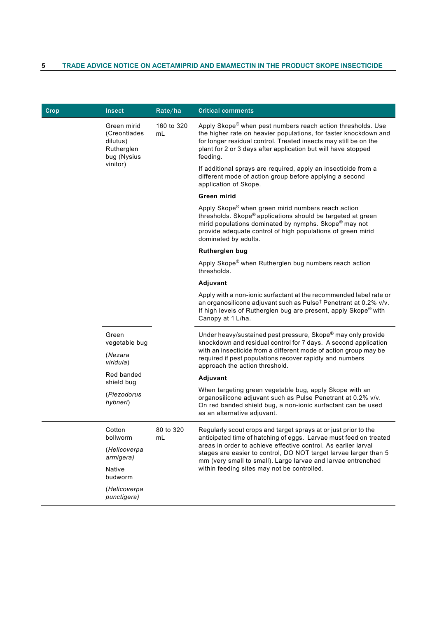# **5 TRADE ADVICE NOTICE ON ACETAMIPRID AND EMAMECTIN IN THE PRODUCT SKOPE INSECTICIDE**

| Crop | <b>Insect</b>                                                        | Rate/ha                                                                                                                              | <b>Critical comments</b>                                                                                                                                                                                                                                                         |  |                                                                                                                                 |
|------|----------------------------------------------------------------------|--------------------------------------------------------------------------------------------------------------------------------------|----------------------------------------------------------------------------------------------------------------------------------------------------------------------------------------------------------------------------------------------------------------------------------|--|---------------------------------------------------------------------------------------------------------------------------------|
|      | Green mirid<br>(Creontiades<br>dilutus)<br>Rutherglen<br>bug (Nysius | 160 to 320<br>mL                                                                                                                     | Apply Skope® when pest numbers reach action thresholds. Use<br>the higher rate on heavier populations, for faster knockdown and<br>for longer residual control. Treated insects may still be on the<br>plant for 2 or 3 days after application but will have stopped<br>feeding. |  |                                                                                                                                 |
|      | vinitor)                                                             |                                                                                                                                      | If additional sprays are required, apply an insecticide from a<br>different mode of action group before applying a second<br>application of Skope.                                                                                                                               |  |                                                                                                                                 |
|      |                                                                      |                                                                                                                                      | <b>Green mirid</b>                                                                                                                                                                                                                                                               |  |                                                                                                                                 |
|      |                                                                      |                                                                                                                                      | Apply Skope® when green mirid numbers reach action<br>thresholds. Skope® applications should be targeted at green<br>mirid populations dominated by nymphs. Skope <sup>®</sup> may not<br>provide adequate control of high populations of green mirid<br>dominated by adults.    |  |                                                                                                                                 |
|      |                                                                      |                                                                                                                                      | <b>Rutherglen bug</b>                                                                                                                                                                                                                                                            |  |                                                                                                                                 |
|      |                                                                      |                                                                                                                                      | Apply Skope® when Rutherglen bug numbers reach action<br>thresholds.                                                                                                                                                                                                             |  |                                                                                                                                 |
|      |                                                                      |                                                                                                                                      | Adjuvant                                                                                                                                                                                                                                                                         |  |                                                                                                                                 |
|      |                                                                      |                                                                                                                                      | Apply with a non-ionic surfactant at the recommended label rate or<br>an organosilicone adjuvant such as Pulse <sup>†</sup> Penetrant at 0.2% v/v.<br>If high levels of Rutherglen bug are present, apply Skope® with<br>Canopy at 1 L/ha.                                       |  |                                                                                                                                 |
|      | Green<br>vegetable bug                                               |                                                                                                                                      |                                                                                                                                                                                                                                                                                  |  | Under heavy/sustained pest pressure, Skope® may only provide<br>knockdown and residual control for 7 days. A second application |
|      | (Nezara<br>viridula)                                                 |                                                                                                                                      | with an insecticide from a different mode of action group may be<br>required if pest populations recover rapidly and numbers<br>approach the action threshold.                                                                                                                   |  |                                                                                                                                 |
|      | Red banded<br>shield bug                                             |                                                                                                                                      | Adjuvant                                                                                                                                                                                                                                                                         |  |                                                                                                                                 |
|      | (Piezodorus<br>hybneri)                                              |                                                                                                                                      | When targeting green vegetable bug, apply Skope with an<br>organosilicone adjuvant such as Pulse Penetrant at 0.2% v/v.<br>On red banded shield bug, a non-ionic surfactant can be used<br>as an alternative adjuvant.                                                           |  |                                                                                                                                 |
|      | 80 to 320<br>Cotton<br>bollworm<br>mL                                | Regularly scout crops and target sprays at or just prior to the<br>anticipated time of hatching of eggs. Larvae must feed on treated |                                                                                                                                                                                                                                                                                  |  |                                                                                                                                 |
|      | (Helicoverpa<br>armigera)                                            |                                                                                                                                      | areas in order to achieve effective control. As earlier larval<br>stages are easier to control, DO NOT target larvae larger than 5<br>mm (very small to small). Large larvae and larvae entrenched                                                                               |  |                                                                                                                                 |
|      | Native<br>budworm                                                    |                                                                                                                                      | within feeding sites may not be controlled.                                                                                                                                                                                                                                      |  |                                                                                                                                 |
|      | (Helicoverpa<br>punctigera)                                          |                                                                                                                                      |                                                                                                                                                                                                                                                                                  |  |                                                                                                                                 |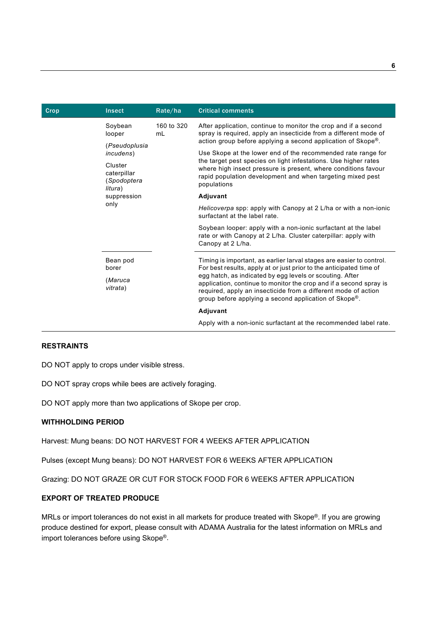| Crop                                                 | <b>Insect</b>                                                                                                                | Rate/ha          | <b>Critical comments</b>                                                                                                                                                                                                                                               |  |                                                                                                   |
|------------------------------------------------------|------------------------------------------------------------------------------------------------------------------------------|------------------|------------------------------------------------------------------------------------------------------------------------------------------------------------------------------------------------------------------------------------------------------------------------|--|---------------------------------------------------------------------------------------------------|
|                                                      | Soybean<br>looper                                                                                                            | 160 to 320<br>mL | After application, continue to monitor the crop and if a second<br>spray is required, apply an insecticide from a different mode of                                                                                                                                    |  |                                                                                                   |
|                                                      | (Pseudoplusia<br><i>incudens</i> )                                                                                           |                  | action group before applying a second application of Skope®.<br>Use Skope at the lower end of the recommended rate range for                                                                                                                                           |  |                                                                                                   |
|                                                      | Cluster                                                                                                                      |                  | the target pest species on light infestations. Use higher rates                                                                                                                                                                                                        |  |                                                                                                   |
| caterpillar<br>(Spodoptera<br>populations<br>litura) | where high insect pressure is present, where conditions favour<br>rapid population development and when targeting mixed pest |                  |                                                                                                                                                                                                                                                                        |  |                                                                                                   |
|                                                      | suppression                                                                                                                  |                  | Adjuvant                                                                                                                                                                                                                                                               |  |                                                                                                   |
|                                                      | only                                                                                                                         |                  |                                                                                                                                                                                                                                                                        |  | Helicoverpa spp: apply with Canopy at 2 L/ha or with a non-ionic<br>surfactant at the label rate. |
|                                                      |                                                                                                                              |                  |                                                                                                                                                                                                                                                                        |  |                                                                                                   |
| Bean pod<br>borer                                    |                                                                                                                              |                  | Timing is important, as earlier larval stages are easier to control.<br>For best results, apply at or just prior to the anticipated time of                                                                                                                            |  |                                                                                                   |
|                                                      | (Maruca<br>vitrata)                                                                                                          |                  | egg hatch, as indicated by egg levels or scouting. After<br>application, continue to monitor the crop and if a second spray is<br>required, apply an insecticide from a different mode of action<br>group before applying a second application of Skope <sup>®</sup> . |  |                                                                                                   |
|                                                      |                                                                                                                              |                  | Adjuvant                                                                                                                                                                                                                                                               |  |                                                                                                   |
|                                                      |                                                                                                                              |                  | Apply with a non-ionic surfactant at the recommended label rate.                                                                                                                                                                                                       |  |                                                                                                   |

#### **RESTRAINTS**

DO NOT apply to crops under visible stress.

DO NOT spray crops while bees are actively foraging.

DO NOT apply more than two applications of Skope per crop.

### **WITHHOLDING PERIOD**

Harvest: Mung beans: DO NOT HARVEST FOR 4 WEEKS AFTER APPLICATION

Pulses (except Mung beans): DO NOT HARVEST FOR 6 WEEKS AFTER APPLICATION

Grazing: DO NOT GRAZE OR CUT FOR STOCK FOOD FOR 6 WEEKS AFTER APPLICATION

### **EXPORT OF TREATED PRODUCE**

MRLs or import tolerances do not exist in all markets for produce treated with Skope®. If you are growing produce destined for export, please consult with ADAMA Australia for the latest information on MRLs and import tolerances before using Skope®.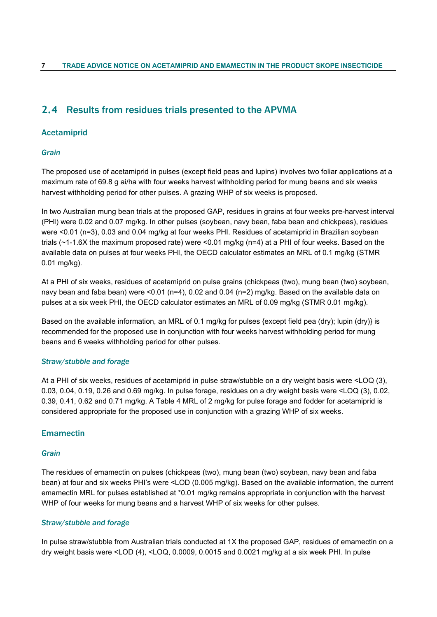# **2.4** Results from residues trials presented to the APVMA

### Acetamiprid

### *Grain*

The proposed use of acetamiprid in pulses (except field peas and lupins) involves two foliar applications at a maximum rate of 69.8 g ai/ha with four weeks harvest withholding period for mung beans and six weeks harvest withholding period for other pulses. A grazing WHP of six weeks is proposed.

In two Australian mung bean trials at the proposed GAP, residues in grains at four weeks pre-harvest interval (PHI) were 0.02 and 0.07 mg/kg. In other pulses (soybean, navy bean, faba bean and chickpeas), residues were <0.01 (n=3), 0.03 and 0.04 mg/kg at four weeks PHI. Residues of acetamiprid in Brazilian soybean trials (~1-1.6X the maximum proposed rate) were <0.01 mg/kg (n=4) at a PHI of four weeks. Based on the available data on pulses at four weeks PHI, the OECD calculator estimates an MRL of 0.1 mg/kg (STMR 0.01 mg/kg).

At a PHI of six weeks, residues of acetamiprid on pulse grains (chickpeas (two), mung bean (two) soybean, navy bean and faba bean) were <0.01 (n=4), 0.02 and 0.04 (n=2) mg/kg. Based on the available data on pulses at a six week PHI, the OECD calculator estimates an MRL of 0.09 mg/kg (STMR 0.01 mg/kg).

Based on the available information, an MRL of 0.1 mg/kg for pulses {except field pea (dry); lupin (dry)} is recommended for the proposed use in conjunction with four weeks harvest withholding period for mung beans and 6 weeks withholding period for other pulses.

### *Straw/stubble and forage*

At a PHI of six weeks, residues of acetamiprid in pulse straw/stubble on a dry weight basis were <LOQ (3), 0.03, 0.04, 0.19, 0.26 and 0.69 mg/kg. In pulse forage, residues on a dry weight basis were <LOQ (3), 0.02, 0.39, 0.41, 0.62 and 0.71 mg/kg. A Table 4 MRL of 2 mg/kg for pulse forage and fodder for acetamiprid is considered appropriate for the proposed use in conjunction with a grazing WHP of six weeks.

## Emamectin

### *Grain*

The residues of emamectin on pulses (chickpeas (two), mung bean (two) soybean, navy bean and faba bean) at four and six weeks PHI's were <LOD (0.005 mg/kg). Based on the available information, the current emamectin MRL for pulses established at \*0.01 mg/kg remains appropriate in conjunction with the harvest WHP of four weeks for mung beans and a harvest WHP of six weeks for other pulses.

### *Straw/stubble and forage*

In pulse straw/stubble from Australian trials conducted at 1X the proposed GAP, residues of emamectin on a dry weight basis were <LOD (4), <LOQ, 0.0009, 0.0015 and 0.0021 mg/kg at a six week PHI. In pulse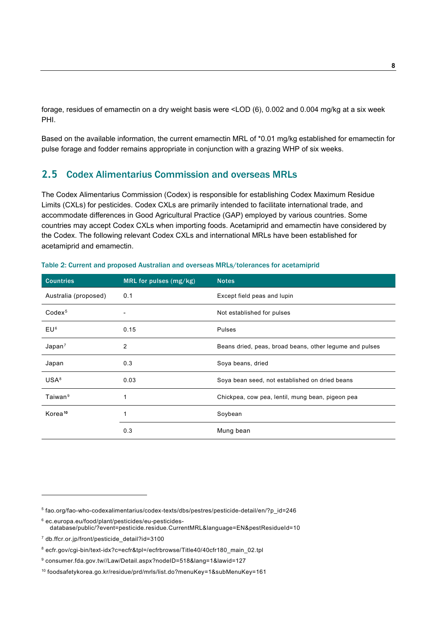forage, residues of emamectin on a dry weight basis were <LOD (6), 0.002 and 0.004 mg/kg at a six week PHI.

Based on the available information, the current emamectin MRL of \*0.01 mg/kg established for emamectin for pulse forage and fodder remains appropriate in conjunction with a grazing WHP of six weeks.

## **2.5** Codex Alimentarius Commission and overseas MRLs

The Codex Alimentarius Commission (Codex) is responsible for establishing Codex Maximum Residue Limits (CXLs) for pesticides. Codex CXLs are primarily intended to facilitate international trade, and accommodate differences in Good Agricultural Practice (GAP) employed by various countries. Some countries may accept Codex CXLs when importing foods. Acetamiprid and emamectin have considered by the Codex. The following relevant Codex CXLs and international MRLs have been established for acetamiprid and emamectin.

| <b>Countries</b>     | MRL for pulses (mg/kg) | <b>Notes</b>                                            |
|----------------------|------------------------|---------------------------------------------------------|
| Australia (proposed) | 0.1                    | Except field peas and lupin                             |
| $Codex^5$            |                        | Not established for pulses                              |
| EU <sup>6</sup>      | 0.15                   | Pulses                                                  |
| Japan <sup>7</sup>   | 2                      | Beans dried, peas, broad beans, other legume and pulses |
| Japan                | 0.3                    | Soya beans, dried                                       |
| USA <sup>8</sup>     | 0.03                   | Soya bean seed, not established on dried beans          |
| Taiwan <sup>9</sup>  |                        | Chickpea, cow pea, lentil, mung bean, pigeon pea        |
| Korea <sup>10</sup>  |                        | Soybean                                                 |
|                      | 0.3                    | Mung bean                                               |

#### Table 2: Current and proposed Australian and overseas MRLs/tolerances for acetamiprid

<span id="page-10-0"></span><sup>5</sup> fao.org/fao-who-codexalimentarius/codex-texts/dbs/pestres/pesticide-detail/en/?p\_id=246

<span id="page-10-1"></span><sup>6</sup> ec.europa.eu/food/plant/pesticides/eu-pesticides-

database/public/?event=pesticide.residue.CurrentMRL&language=EN&pestResidueId=10

<span id="page-10-2"></span><sup>7</sup> db.ffcr.or.jp/front/pesticide\_detail?id=3100

<span id="page-10-3"></span><sup>8</sup> ecfr.gov/cgi-bin/text-idx?c=ecfr&tpl=/ecfrbrowse/Title40/40cfr180\_main\_02.tpl

<span id="page-10-4"></span><sup>9</sup> consumer.fda.gov.tw//Law/Detail.aspx?nodeID=518&lang=1&lawid=127

<span id="page-10-5"></span><sup>10</sup> foodsafetykorea.go.kr/residue/prd/mrls/list.do?menuKey=1&subMenuKey=161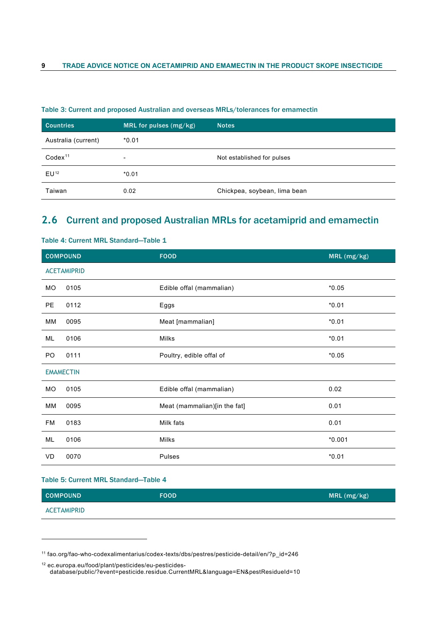| <b>Countries</b>    | MRL for pulses $(mg/kg)$ | <b>Notes</b>                 |
|---------------------|--------------------------|------------------------------|
| Australia (current) | $*0.01$                  |                              |
| Codex <sup>11</sup> | $\overline{\phantom{0}}$ | Not established for pulses   |
| EU <sup>12</sup>    | $*0.01$                  |                              |
| Taiwan              | 0.02                     | Chickpea, soybean, lima bean |

#### Table 3: Current and proposed Australian and overseas MRLs/tolerances for emamectin

# **2.6** Current and proposed Australian MRLs for acetamiprid and emamectin

| <b>COMPOUND</b>    | <b>FOOD</b>                  | MRL (mg/kg) |  |  |  |
|--------------------|------------------------------|-------------|--|--|--|
| <b>ACETAMIPRID</b> |                              |             |  |  |  |
| 0105<br><b>MO</b>  | Edible offal (mammalian)     | $*0.05$     |  |  |  |
| <b>PE</b><br>0112  | Eggs                         | $*0.01$     |  |  |  |
| МM<br>0095         | Meat [mammalian]             | $*0.01$     |  |  |  |
| 0106<br>ML         | Milks                        | $*0.01$     |  |  |  |
| 0111<br>PO         | Poultry, edible offal of     | $*0.05$     |  |  |  |
| <b>EMAMECTIN</b>   |                              |             |  |  |  |
| 0105<br><b>MO</b>  | Edible offal (mammalian)     | 0.02        |  |  |  |
| МM<br>0095         | Meat (mammalian)[in the fat] | 0.01        |  |  |  |
| FM<br>0183         | Milk fats                    | 0.01        |  |  |  |
| ML<br>0106         | Milks                        | $*0.001$    |  |  |  |
| 0070<br>VD         | <b>Pulses</b>                | $*0.01$     |  |  |  |

#### Table 4: Current MRL Standard—Table 1

#### Table 5: Current MRL Standard—Table 4

| <b>COMPOUND</b> | <b>FOOD</b> | MRL (mg/kg) |
|-----------------|-------------|-------------|
| ACETAMIPRID     |             |             |

<span id="page-11-0"></span><sup>11</sup> fao.org/fao-who-codexalimentarius/codex-texts/dbs/pestres/pesticide-detail/en/?p\_id=246

<span id="page-11-1"></span><sup>12</sup> ec.europa.eu/food/plant/pesticides/eu-pesticidesdatabase/public/?event=pesticide.residue.CurrentMRL&language=EN&pestResidueId=10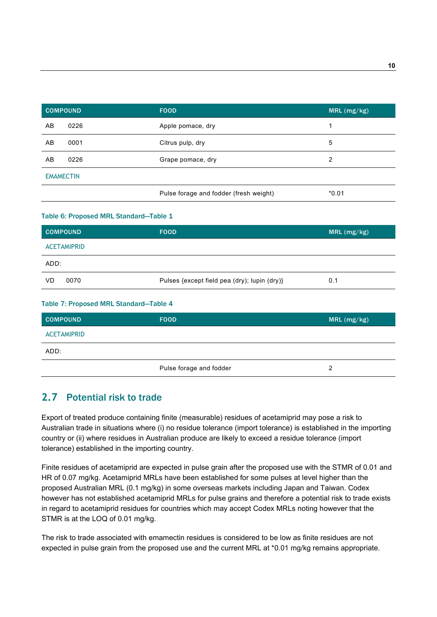| <b>COMPOUND</b> |                  | <b>FOOD</b>                            | MRL (mg/kg) |
|-----------------|------------------|----------------------------------------|-------------|
| AB              | 0226             | Apple pomace, dry                      | -1          |
| AB              | 0001             | Citrus pulp, dry                       | 5           |
| AB              | 0226             | Grape pomace, dry                      | 2           |
|                 | <b>EMAMECTIN</b> |                                        |             |
|                 |                  | Pulse forage and fodder (fresh weight) | $*0.01$     |

#### Table 6: Proposed MRL Standard—Table 1

| <b>COMPOUND</b>    | <b>FOOD</b>                                  | MRL (mg/kg) |  |  |
|--------------------|----------------------------------------------|-------------|--|--|
| <b>ACETAMIPRID</b> |                                              |             |  |  |
| ADD:               |                                              |             |  |  |
| 0070<br>VD         | Pulses {except field pea (dry); lupin (dry)} | 0.1         |  |  |
|                    |                                              |             |  |  |

#### Table 7: Proposed MRL Standard—Table 4

| <b>COMPOUND</b>    | <b>FOOD</b>             | MRL (mg/kg) |
|--------------------|-------------------------|-------------|
| <b>ACETAMIPRID</b> |                         |             |
| ADD:               |                         |             |
|                    | Pulse forage and fodder | 2           |

## **2.7** Potential risk to trade

Export of treated produce containing finite (measurable) residues of acetamiprid may pose a risk to Australian trade in situations where (i) no residue tolerance (import tolerance) is established in the importing country or (ii) where residues in Australian produce are likely to exceed a residue tolerance (import tolerance) established in the importing country.

Finite residues of acetamiprid are expected in pulse grain after the proposed use with the STMR of 0.01 and HR of 0.07 mg/kg. Acetamiprid MRLs have been established for some pulses at level higher than the proposed Australian MRL (0.1 mg/kg) in some overseas markets including Japan and Taiwan. Codex however has not established acetamiprid MRLs for pulse grains and therefore a potential risk to trade exists in regard to acetamiprid residues for countries which may accept Codex MRLs noting however that the STMR is at the LOQ of 0.01 mg/kg.

The risk to trade associated with emamectin residues is considered to be low as finite residues are not expected in pulse grain from the proposed use and the current MRL at \*0.01 mg/kg remains appropriate.